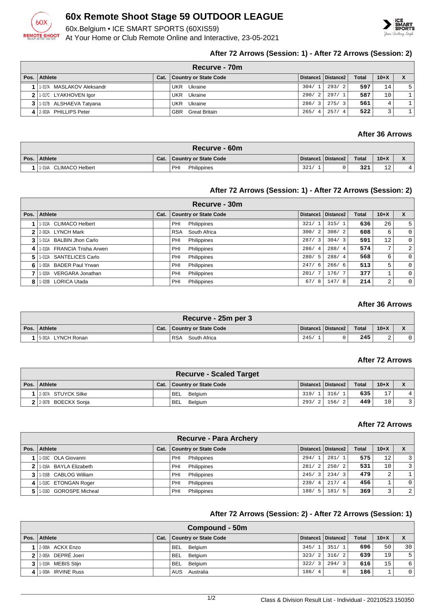

## **60x Remote Shoot Stage 59 OUTDOOR LEAGUE**

60x.Belgium • ICE SMART SPORTS (60XIS59)

At Your Home or Club Remote Online and Interactive, 23-05-2021



## **After 72 Arrows (Session: 1) - After 72 Arrows (Session: 2)**

|      | <b>Recurve - 70m</b> ∶    |      |                              |                        |                       |              |        |  |  |  |
|------|---------------------------|------|------------------------------|------------------------|-----------------------|--------------|--------|--|--|--|
| Pos. | Athlete                   | Cat. | <b>Country or State Code</b> |                        | Distance1   Distance2 | <b>Total</b> | $10+X$ |  |  |  |
|      | 1-017A MASLAKOV Aleksandr |      | Ukraine<br>UKR               | 304/1                  | 293/2                 | 597          | 14     |  |  |  |
|      | 2 1.017C LYAKHOVEN Igor   |      | Ukraine<br>UKR               | 290/2                  | 297/1                 | 587          | 10     |  |  |  |
|      | 3 1.017B ALSHAEVA Tatyana |      | Ukraine<br><b>UKR</b>        | 286/<br>$\overline{3}$ | 275/3                 | 561          |        |  |  |  |
|      | 4 2-003A PHILLIPS Peter   |      | <b>GBR</b> Great Britain     | 265/<br>$\overline{4}$ | 257/4                 | 522          |        |  |  |  |

## **After 36 Arrows**

| Recurve - 60m          |      |                       |      |                       |              |           |  |  |  |
|------------------------|------|-----------------------|------|-----------------------|--------------|-----------|--|--|--|
| Pos. Athlete           | Cat. | Country or State Code |      | Distance1   Distance2 | <b>Total</b> | $10+X$    |  |  |  |
| 1-014A CLIMACO Helbert |      | Philippines<br>PHI    | 321/ |                       | 321          | 1 O<br>⊥∠ |  |  |  |

## **After 72 Arrows (Session: 1) - After 72 Arrows (Session: 2)**

|                | Recurve - 30m               |      |                              |                                 |                       |              |                |                |  |  |
|----------------|-----------------------------|------|------------------------------|---------------------------------|-----------------------|--------------|----------------|----------------|--|--|
|                | Pos. Athlete                | Cat. | <b>Country or State Code</b> |                                 | Distance1   Distance2 | <b>Total</b> | $10+X$         |                |  |  |
|                | 1-013A CLIMACO Helbert      |      | Philippines<br>PHI           | 321/                            | 315/1                 | 636          | 26             | 5              |  |  |
|                | 2 2-002A LYNCH Mark         |      | RSA South Africa             | 300/<br>$\overline{2}$          | 308/2                 | 608          | 6              | $\Omega$       |  |  |
| 3 <sup>1</sup> | 1-011A BALBIN Jhon Carlo    |      | Philippines<br>PHI           | 287/<br>$\overline{\mathbf{3}}$ | 304/3                 | 591          | 12             | $\Omega$       |  |  |
| $\vert$        | 1-010A FRANCIA Trisha Arwen |      | Philippines<br>PHI           | 286/<br>-4                      | 288/4                 | 574          | 7 <sub>1</sub> | $\overline{2}$ |  |  |
| 51             | 1-012A SANTELICES Carlo     |      | Philippines<br>PHI           | 280/5                           | 288/4                 | 568          | 6              | 0              |  |  |
| 61             | 1-003A BADER Paul Yrwan     |      | Philippines<br>PHI           | 247/6                           | 266/6                 | 513          | 5              | $\Omega$       |  |  |
|                | 1-020A VERGARA Jonathan     |      | Philippines<br>PHI           | 201/                            | 176/7                 | 377          |                | $\Omega$       |  |  |
| 8              | 1-020B LORICA Utada         |      | Philippines<br>PHI           | 67/<br>8                        | 147/8                 | 214          | 2              | $\Omega$       |  |  |

## **After 36 Arrows**

| Recurve - 25m per 3   |      |                            |      |                       |       |        |  |  |  |
|-----------------------|------|----------------------------|------|-----------------------|-------|--------|--|--|--|
| Pos. Athlete          | Cat. | Country or State Code      |      | Distance1   Distance2 | Total | $10+X$ |  |  |  |
| LYNCH Ronan<br>5-001A |      | <b>RSA</b><br>South Africa | 245/ |                       | 245   |        |  |  |  |

## **After 72 Arrows**

| <b>Recurve - Scaled Target</b> |      |                              |       |                       |              |        |   |  |  |
|--------------------------------|------|------------------------------|-------|-----------------------|--------------|--------|---|--|--|
| Pos. Athlete                   | Cat. | <b>Country or State Code</b> |       | Distance1   Distance2 | <b>Total</b> | $10+X$ |   |  |  |
| 2-007A STUYCK Silke            |      | <b>BEL</b><br>Belaium        | 319/1 | 316/1                 | 635          | 17     | 4 |  |  |
| 2 2-007B BOECKX Sonja          |      | BEL.<br>Belgium              | 293/  | 156/2                 | 449          | 10     |   |  |  |

#### **After 72 Arrows**

|   | Recurve - Para Archery |      |                              |                                   |                       |              |        |   |  |
|---|------------------------|------|------------------------------|-----------------------------------|-----------------------|--------------|--------|---|--|
|   | Pos. Athlete           | Cat. | <b>Country or State Code</b> |                                   | Distance1   Distance2 | <b>Total</b> | $10+X$ |   |  |
|   | 1-016C OLA Giovanni    |      | PHI<br>Philippines           | 294/1                             | 281/1                 | 575          | 12     | 3 |  |
|   | 1-016A BAYLA Elizabeth |      | PHI<br>Philippines           | 281/<br>2                         | 250/2                 | 531          | 10     | 3 |  |
|   | 1-016B CABLOG William  |      | PHI<br>Philippines           | 245/<br>$\overline{\phantom{a}3}$ | 234/3                 | 479          | 2      |   |  |
| 4 | 1-018C ETONGAN Roger   |      | PHI<br>Philippines           | 239/<br>$\overline{4}$            | 217/4                 | 456          |        |   |  |
|   | 1-016D GOROSPE Micheal |      | PHI<br>Philippines           | 188/<br>-5                        | 181/5                 | 369          |        | 2 |  |

## **After 72 Arrows (Session: 2) - After 72 Arrows (Session: 1)**

|                | Compound - 50m       |      |                              |       |                       |              |        |             |  |  |
|----------------|----------------------|------|------------------------------|-------|-----------------------|--------------|--------|-------------|--|--|
| Pos.           | Athlete              | Cat. | <b>Country or State Code</b> |       | Distance1   Distance2 | <b>Total</b> | $10+X$ |             |  |  |
|                | II2-008A ACKX Enzo   |      | <b>BEL</b><br>Belgium        | 345/1 | 351/1                 | 6961         | 50     | 30          |  |  |
|                | 2 2-005A DEPRÉ Joeri |      | <b>BEL</b><br>Belgium        | 323/2 | 316/2                 | 639          | 19     | 5           |  |  |
| 3 <sub>1</sub> | 1-019A MEBIS Stijn   |      | <b>BEL</b><br>Belgium        | 322/  | 294/3                 | 616          | 15     | 6           |  |  |
| 4              | 1-009A IRVINE Russ   |      | AUS Australia                | 186/4 |                       | 186          |        | $\mathbf 0$ |  |  |